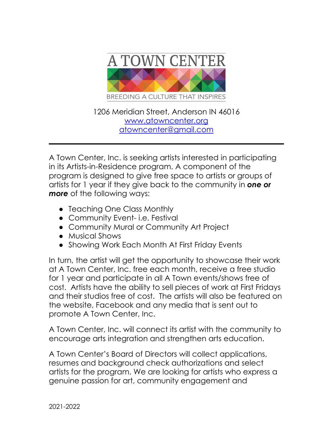

1206 Meridian Street, Anderson IN 46016 [www.atowncenter.org](http://www.atowncenter.org) [atowncenter@gmail.com](mailto:Atowncenter@gmail.com)

A Town Center, Inc. is seeking artists interested in participating in its Artists-in-Residence program. A component of the program is designed to give free space to artists or groups of artists for 1 year if they give back to the community in *one or more* of the following ways:

- Teaching One Class Monthly
- Community Event- i.e. Festival
- Community Mural or Community Art Project
- Musical Shows
- Showing Work Each Month At First Friday Events

In turn, the artist will get the opportunity to showcase their work at A Town Center, Inc. free each month, receive a free studio for 1 year and participate in all A Town events/shows free of cost. Artists have the ability to sell pieces of work at First Fridays and their studios free of cost. The artists will also be featured on the website, Facebook and any media that is sent out to promote A Town Center, Inc.

A Town Center, Inc. will connect its artist with the community to encourage arts integration and strengthen arts education.

A Town Center's Board of Directors will collect applications, resumes and background check authorizations and select artists for the program. We are looking for artists who express a genuine passion for art, community engagement and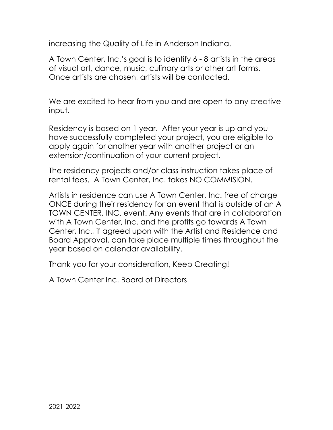increasing the Quality of Life in Anderson Indiana.

A Town Center, Inc.'s goal is to identify 6 - 8 artists in the areas of visual art, dance, music, culinary arts or other art forms. Once artists are chosen, artists will be contacted.

We are excited to hear from you and are open to any creative input.

Residency is based on 1 year. After your year is up and you have successfully completed your project, you are eligible to apply again for another year with another project or an extension/continuation of your current project.

The residency projects and/or class instruction takes place of rental fees. A Town Center, Inc. takes NO COMMISION.

Artists in residence can use A Town Center, Inc. free of charge ONCE during their residency for an event that is outside of an A TOWN CENTER, INC. event. Any events that are in collaboration with A Town Center, Inc. and the profits go towards A Town Center, Inc., if agreed upon with the Artist and Residence and Board Approval, can take place multiple times throughout the year based on calendar availability.

Thank you for your consideration, Keep Creating!

A Town Center Inc. Board of Directors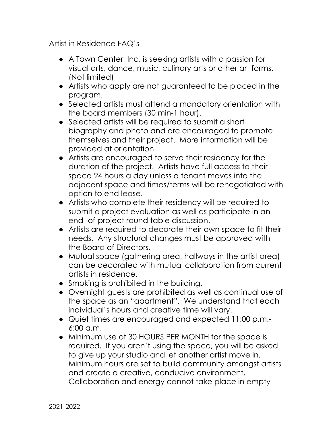## Artist in Residence FAQ's

- A Town Center, Inc. is seeking artists with a passion for visual arts, dance, music, culinary arts or other art forms. (Not limited)
- Artists who apply are not guaranteed to be placed in the program.
- Selected artists must attend a mandatory orientation with the board members (30 min-1 hour).
- Selected artists will be required to submit a short biography and photo and are encouraged to promote themselves and their project. More information will be provided at orientation.
- Artists are encouraged to serve their residency for the duration of the project. Artists have full access to their space 24 hours a day unless a tenant moves into the adjacent space and times/terms will be renegotiated with option to end lease.
- Artists who complete their residency will be required to submit a project evaluation as well as participate in an end- of-project round table discussion.
- Artists are required to decorate their own space to fit their needs. Any structural changes must be approved with the Board of Directors.
- Mutual space (gathering area, hallways in the artist area) can be decorated with mutual collaboration from current artists in residence.
- Smoking is prohibited in the building.
- Overnight guests are prohibited as well as continual use of the space as an "apartment". We understand that each individual's hours and creative time will vary.
- Quiet times are encouraged and expected 11:00 p.m.- 6:00 a.m.
- Minimum use of 30 HOURS PER MONTH for the space is required. If you aren't using the space, you will be asked to give up your studio and let another artist move in. Minimum hours are set to build community amongst artists and create a creative, conducive environment. Collaboration and energy cannot take place in empty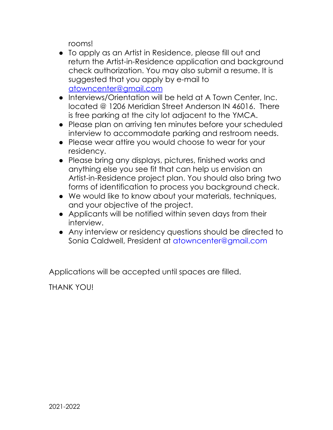rooms!

- To apply as an Artist in Residence, please fill out and return the Artist-in-Residence application and background check authorization. You may also submit a resume. It is suggested that you apply by e-mail to [atowncenter@gmail.com](mailto:atowncenter@gmail.com)
- Interviews/Orientation will be held at A Town Center, Inc. located @ 1206 Meridian Street Anderson IN 46016. There is free parking at the city lot adjacent to the YMCA.
- Please plan on arriving ten minutes before your scheduled interview to accommodate parking and restroom needs.
- Please wear attire you would choose to wear for your residency.
- Please bring any displays, pictures, finished works and anything else you see fit that can help us envision an Artist-in-Residence project plan. You should also bring two forms of identification to process you background check.
- We would like to know about your materials, techniques, and your objective of the project.
- Applicants will be notified within seven days from their interview.
- Any interview or residency questions should be directed to Sonia Caldwell, President at atowncenter@gmail.com

Applications will be accepted until spaces are filled.

THANK YOU!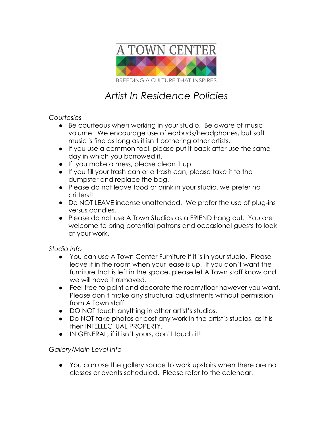

# *Artist In Residence Policies*

## *Courtesies*

- Be courteous when working in your studio. Be aware of music volume. We encourage use of earbuds/headphones, but soft music is fine as long as it isn't bothering other artists.
- If you use a common tool, please put it back after use the same day in which you borrowed it.
- If you make a mess, please clean it up.
- If you fill your trash can or a trash can, please take it to the dumpster and replace the bag.
- Please do not leave food or drink in your studio, we prefer no critters!!
- Do NOT LEAVE incense unattended. We prefer the use of plug-ins versus candles.
- Please do not use A Town Studios as a FRIEND hang out. You are welcome to bring potential patrons and occasional guests to look at your work.

## *Studio Info*

- You can use A Town Center Furniture if it is in your studio. Please leave it in the room when your lease is up. If you don't want the furniture that is left in the space, please let A Town staff know and we will have it removed.
- Feel free to paint and decorate the room/floor however you want. Please don't make any structural adjustments without permission from A Town staff.
- DO NOT touch anything in other artist's studios.
- Do NOT take photos or post any work in the artist's studios, as it is their INTELLECTUAL PROPERTY.
- IN GENERAL, if it isn't yours, don't touch it!!

## *Gallery/Main Level Info*

● You can use the gallery space to work upstairs when there are no classes or events scheduled. Please refer to the calendar.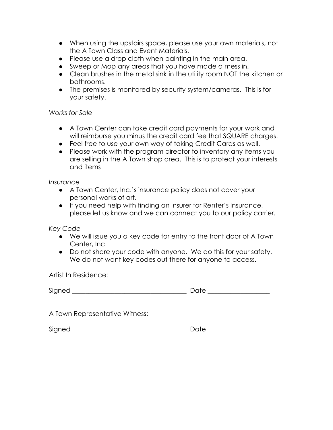- When using the upstairs space, please use your own materials, not the A Town Class and Event Materials.
- Please use a drop cloth when painting in the main area.
- Sweep or Mop any areas that you have made a mess in.
- Clean brushes in the metal sink in the utility room NOT the kitchen or bathrooms.
- The premises is monitored by security system/cameras. This is for your safety.

## *Works for Sale*

- A Town Center can take credit card payments for your work and will reimburse you minus the credit card fee that SQUARE charges.
- Feel free to use your own way of taking Credit Cards as well.
- Please work with the program director to inventory any items you are selling in the A Town shop area. This is to protect your interests and items

### *Insurance*

- A Town Center, Inc.'s insurance policy does not cover your personal works of art.
- If you need help with finding an insurer for Renter's Insurance, please let us know and we can connect you to our policy carrier.

*Key Code*

- We will issue you a key code for entry to the front door of A Town Center, Inc.
- Do not share your code with anyone. We do this for your safety. We do not want key codes out there for anyone to access.

Artist In Residence:

| ∼.<br>Signed |  |
|--------------|--|
|              |  |

A Town Representative Witness:

 $Signed$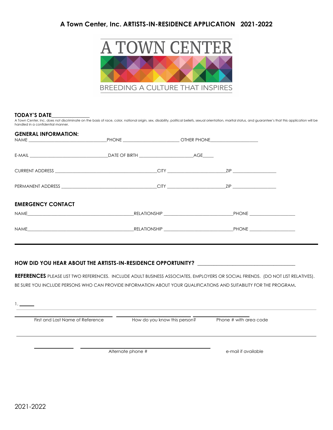## **A Town Center, Inc. ARTISTS-IN-RESIDENCE APPLICATION 2021-2022**



#### **TODAY'S DATE\_\_\_\_\_\_\_\_\_\_\_\_\_\_**

A Town Center, Inc. does not discriminate on the basis of race, color, national origin, sex, disability, political beliefs, sexual orientation, marital status, and guarantee's that this application will be handled in a confidential manner.

| <b>GENERAL INFORMATION:</b>                                                                                                                                                                                                    |  |              |
|--------------------------------------------------------------------------------------------------------------------------------------------------------------------------------------------------------------------------------|--|--------------|
|                                                                                                                                                                                                                                |  |              |
|                                                                                                                                                                                                                                |  |              |
|                                                                                                                                                                                                                                |  |              |
| <b>EMERGENCY CONTACT</b>                                                                                                                                                                                                       |  |              |
| NAME And the state of the state of the state of the state of the state of the state of the state of the state of the state of the state of the state of the state of the state of the state of the state of the state of the s |  |              |
|                                                                                                                                                                                                                                |  | <b>PHONE</b> |

#### **HOW DID YOU HEAR ABOUT THE ARTISTS-IN-RESIDENCE OPPORTUNITY? \_\_\_\_\_\_\_\_\_\_\_\_\_\_\_\_\_\_\_\_\_\_\_\_\_\_\_\_\_\_\_\_\_\_\_\_**

**REFERENCES** PLEASE LIST TWO REFERENCES. INCLUDE ADULT BUSINESS ASSOCIATES, EMPLOYERS OR SOCIAL FRIENDS. (DO NOT LIST RELATIVES). BE SURE YOU INCLUDE PERSONS WHO CAN PROVIDE INFORMATION ABOUT YOUR QUALIFICATIONS AND SUITABILITY FOR THE PROGRAM**.**

| Phone # with area code<br>How do you know this person? |                                  |  |
|--------------------------------------------------------|----------------------------------|--|
|                                                        | First and Last Name of Reference |  |
| Alternate phone #<br>e-mail if available               |                                  |  |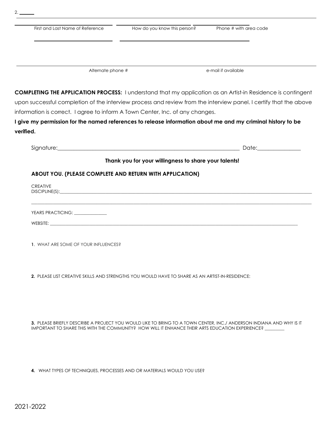| First and Last Name of Reference                                                                                                                                                                                                   | How do you know this person?                          | Phone # with area code                                                                                              |
|------------------------------------------------------------------------------------------------------------------------------------------------------------------------------------------------------------------------------------|-------------------------------------------------------|---------------------------------------------------------------------------------------------------------------------|
|                                                                                                                                                                                                                                    |                                                       |                                                                                                                     |
|                                                                                                                                                                                                                                    |                                                       |                                                                                                                     |
| Alternate phone #                                                                                                                                                                                                                  |                                                       | e-mail if available                                                                                                 |
|                                                                                                                                                                                                                                    |                                                       | <b>COMPLETING THE APPLICATION PROCESS:</b> I understand that my application as an Artist-in Residence is contingent |
|                                                                                                                                                                                                                                    |                                                       | upon successful completion of the interview process and review from the interview panel. I certify that the above   |
|                                                                                                                                                                                                                                    |                                                       |                                                                                                                     |
| information is correct. I agree to inform A Town Center, Inc. of any changes.                                                                                                                                                      |                                                       |                                                                                                                     |
|                                                                                                                                                                                                                                    |                                                       |                                                                                                                     |
| verified.                                                                                                                                                                                                                          |                                                       | I give my permission for the named references to release information about me and my criminal history to be         |
| Signature: <u>Communications</u> and Communications and Communications and Communications and Communications and Communications and Communications and Communications and Communications and Communications and Communications and |                                                       | Date:_______________                                                                                                |
|                                                                                                                                                                                                                                    | Thank you for your willingness to share your talents! |                                                                                                                     |
| ABOUT YOU. (PLEASE COMPLETE AND RETURN WITH APPLICATION)                                                                                                                                                                           |                                                       |                                                                                                                     |
| <b>CREATIVE</b>                                                                                                                                                                                                                    |                                                       |                                                                                                                     |
| YEARS PRACTICING: _____________                                                                                                                                                                                                    |                                                       |                                                                                                                     |

**2.** PLEASE LIST CREATIVE SKILLS AND STRENGTHS YOU WOULD HAVE TO SHARE AS AN ARTIST-IN-RESIDENCE:

**3.** PLEASE BRIEFLY DESCRIBE A PROJECT YOU WOULD LIKE TO BRING TO A TOWN CENTER, INC./ ANDERSON INDIANA AND WHY IS IT IMPORTANT TO SHARE THIS WITH THE COMMUNITY? HOW WILL IT ENHANCE THEIR ARTS EDUCATION EXPERIENCE?

**4.** WHAT TYPES OF TECHNIQUES, PROCESSES AND OR MATERIALS WOULD YOU USE?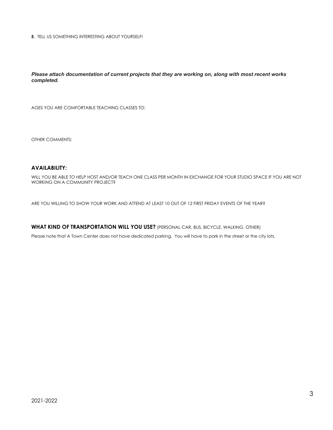**5**. TELL US SOMETHING INTERESTING ABOUT YOURSELF!

*Please attach documentation of current projects that they are working on, along with most recent works completed.*

AGES YOU ARE COMFORTABLE TEACHING CLASSES TO:

OTHER COMMENTS:

#### **AVAILABILITY:**

WILL YOU BE ABLE TO HELP HOST AND/OR TEACH ONE CLASS PER MONTH IN EXCHANGE FOR YOUR STUDIO SPACE IF YOU ARE NOT WORKING ON A COMMUNITY PROJECT?

ARE YOU WILLING TO SHOW YOUR WORK AND ATTEND AT LEAST 10 OUT OF 12 FIRST FRIDAY EVENTS OF THE YEAR?

**WHAT KIND OF TRANSPORTATION WILL YOU USE?** (PERSONAL CAR, BUS, BICYCLE, WALKING, OTHER)

Please note that A Town Center does not have dedicated parking. You will have to park in the street or the city lots.